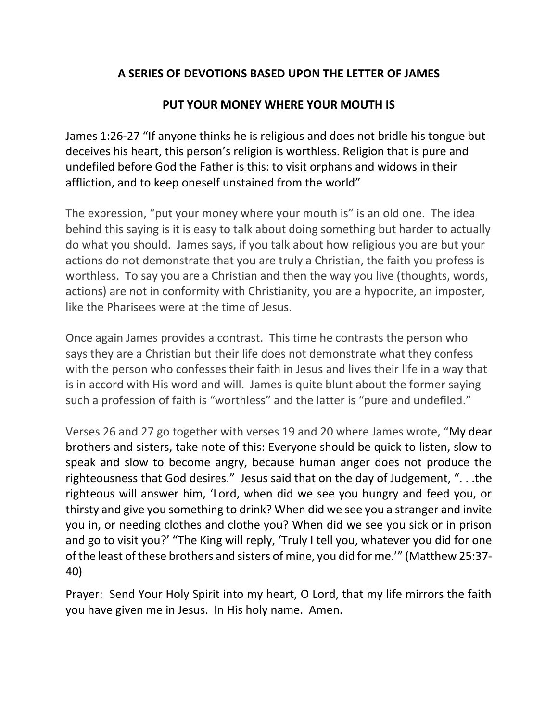## **A SERIES OF DEVOTIONS BASED UPON THE LETTER OF JAMES**

## **PUT YOUR MONEY WHERE YOUR MOUTH IS**

James 1:26-27 "If anyone thinks he is religious and does not bridle his tongue but deceives his heart, this person's religion is worthless. Religion that is pure and undefiled before God the Father is this: to visit orphans and widows in their affliction, and to keep oneself unstained from the world"

The expression, "put your money where your mouth is" is an old one. The idea behind this saying is it is easy to talk about doing something but harder to actually do what you should. James says, if you talk about how religious you are but your actions do not demonstrate that you are truly a Christian, the faith you profess is worthless. To say you are a Christian and then the way you live (thoughts, words, actions) are not in conformity with Christianity, you are a hypocrite, an imposter, like the Pharisees were at the time of Jesus.

Once again James provides a contrast. This time he contrasts the person who says they are a Christian but their life does not demonstrate what they confess with the person who confesses their faith in Jesus and lives their life in a way that is in accord with His word and will. James is quite blunt about the former saying such a profession of faith is "worthless" and the latter is "pure and undefiled."

Verses 26 and 27 go together with verses 19 and 20 where James wrote, "My dear brothers and sisters, take note of this: Everyone should be quick to listen, slow to speak and slow to become angry, because human anger does not produce the righteousness that God desires." Jesus said that on the day of Judgement, ". . .the righteous will answer him, 'Lord, when did we see you hungry and feed you, or thirsty and give you something to drink? When did we see you a stranger and invite you in, or needing clothes and clothe you? When did we see you sick or in prison and go to visit you?' "The King will reply, 'Truly I tell you, whatever you did for one of the least of these brothers and sisters of mine, you did for me.'" (Matthew 25:37- 40)

Prayer: Send Your Holy Spirit into my heart, O Lord, that my life mirrors the faith you have given me in Jesus. In His holy name. Amen.